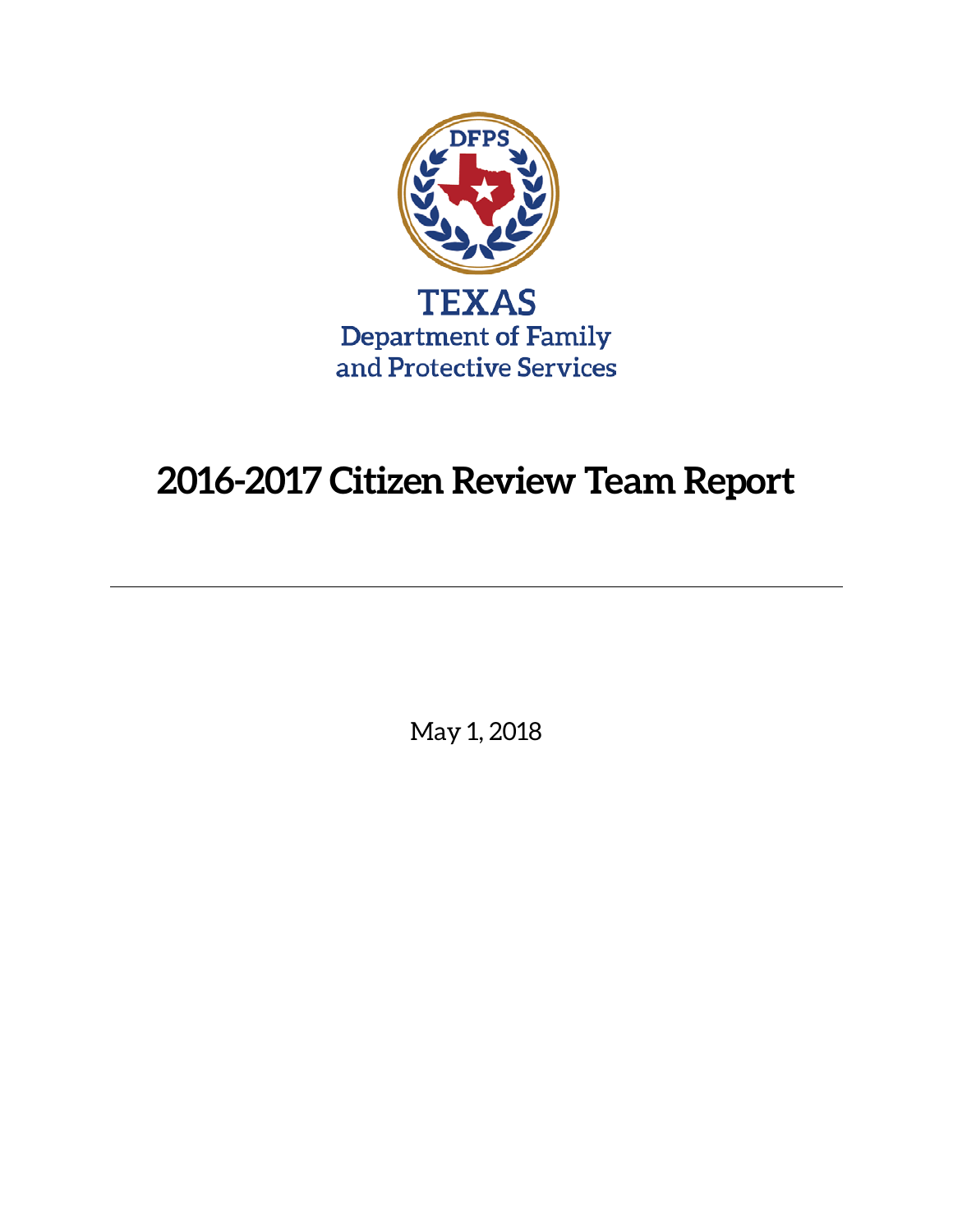

# **2016-2017 Citizen Review Team Report**

May 1, 2018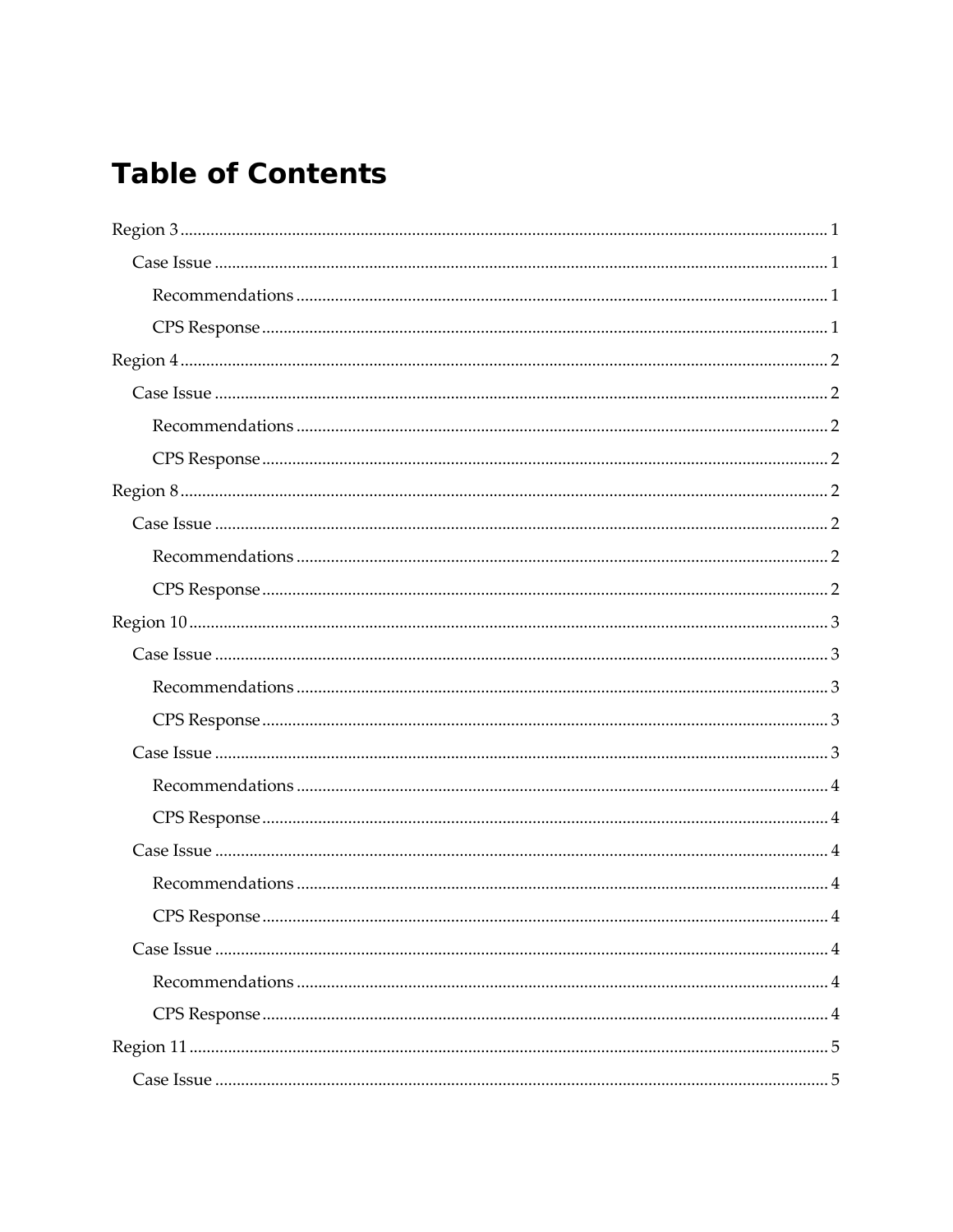## **Table of Contents**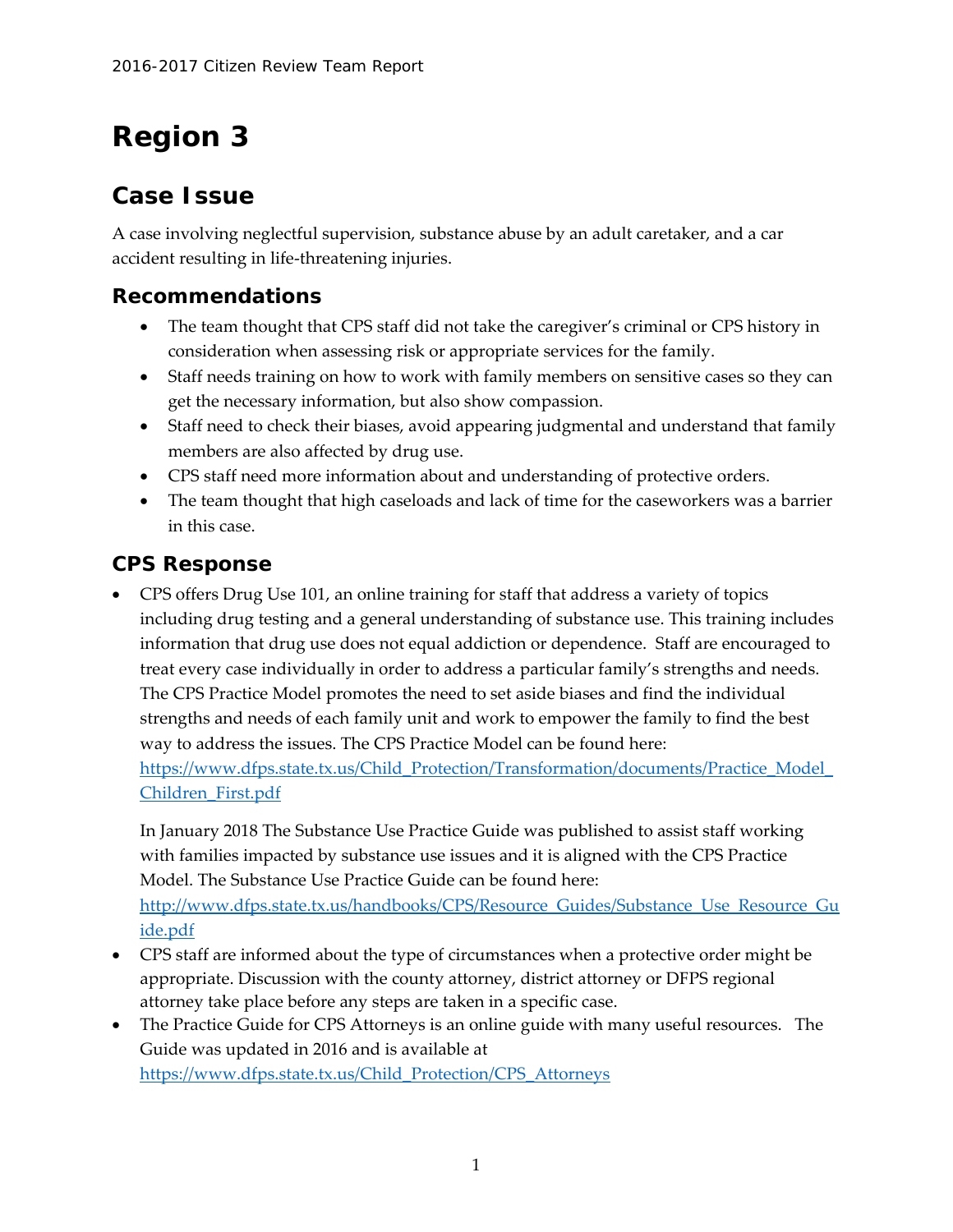## <span id="page-3-0"></span>**Region 3**

### <span id="page-3-1"></span>**Case Issue**

A case involving neglectful supervision, substance abuse by an adult caretaker, and a car accident resulting in life-threatening injuries.

#### <span id="page-3-2"></span>**Recommendations**

- The team thought that CPS staff did not take the caregiver's criminal or CPS history in consideration when assessing risk or appropriate services for the family.
- Staff needs training on how to work with family members on sensitive cases so they can get the necessary information, but also show compassion.
- Staff need to check their biases, avoid appearing judgmental and understand that family members are also affected by drug use.
- CPS staff need more information about and understanding of protective orders.
- The team thought that high caseloads and lack of time for the caseworkers was a barrier in this case.

#### <span id="page-3-3"></span>**CPS Response**

• CPS offers Drug Use 101, an online training for staff that address a variety of topics including drug testing and a general understanding of substance use. This training includes information that drug use does not equal addiction or dependence. Staff are encouraged to treat every case individually in order to address a particular family's strengths and needs. The CPS Practice Model promotes the need to set aside biases and find the individual strengths and needs of each family unit and work to empower the family to find the best way to address the issues. The CPS Practice Model can be found here: [https://www.dfps.state.tx.us/Child\\_Protection/Transformation/documents/Practice\\_Model\\_](https://www.dfps.state.tx.us/Child_Protection/Transformation/documents/Practice_Model_Children_First.pdf) [Children\\_First.pdf](https://www.dfps.state.tx.us/Child_Protection/Transformation/documents/Practice_Model_Children_First.pdf)

In January 2018 The Substance Use Practice Guide was published to assist staff working with families impacted by substance use issues and it is aligned with the CPS Practice Model. The Substance Use Practice Guide can be found here: [http://www.dfps.state.tx.us/handbooks/CPS/Resource\\_Guides/Substance\\_Use\\_Resource\\_Gu](http://www.dfps.state.tx.us/handbooks/CPS/Resource_Guides/Substance_Use_Resource_Guide.pdf) [ide.pdf](http://www.dfps.state.tx.us/handbooks/CPS/Resource_Guides/Substance_Use_Resource_Guide.pdf)

- CPS staff are informed about the type of circumstances when a protective order might be appropriate. Discussion with the county attorney, district attorney or DFPS regional attorney take place before any steps are taken in a specific case.
- The Practice Guide for CPS Attorneys is an online guide with many useful resources. The Guide was updated in 2016 and is available at

[https://www.dfps.state.tx.us/Child\\_Protection/CPS\\_Attorneys](https://www.dfps.state.tx.us/Child_Protection/CPS_Attorneys)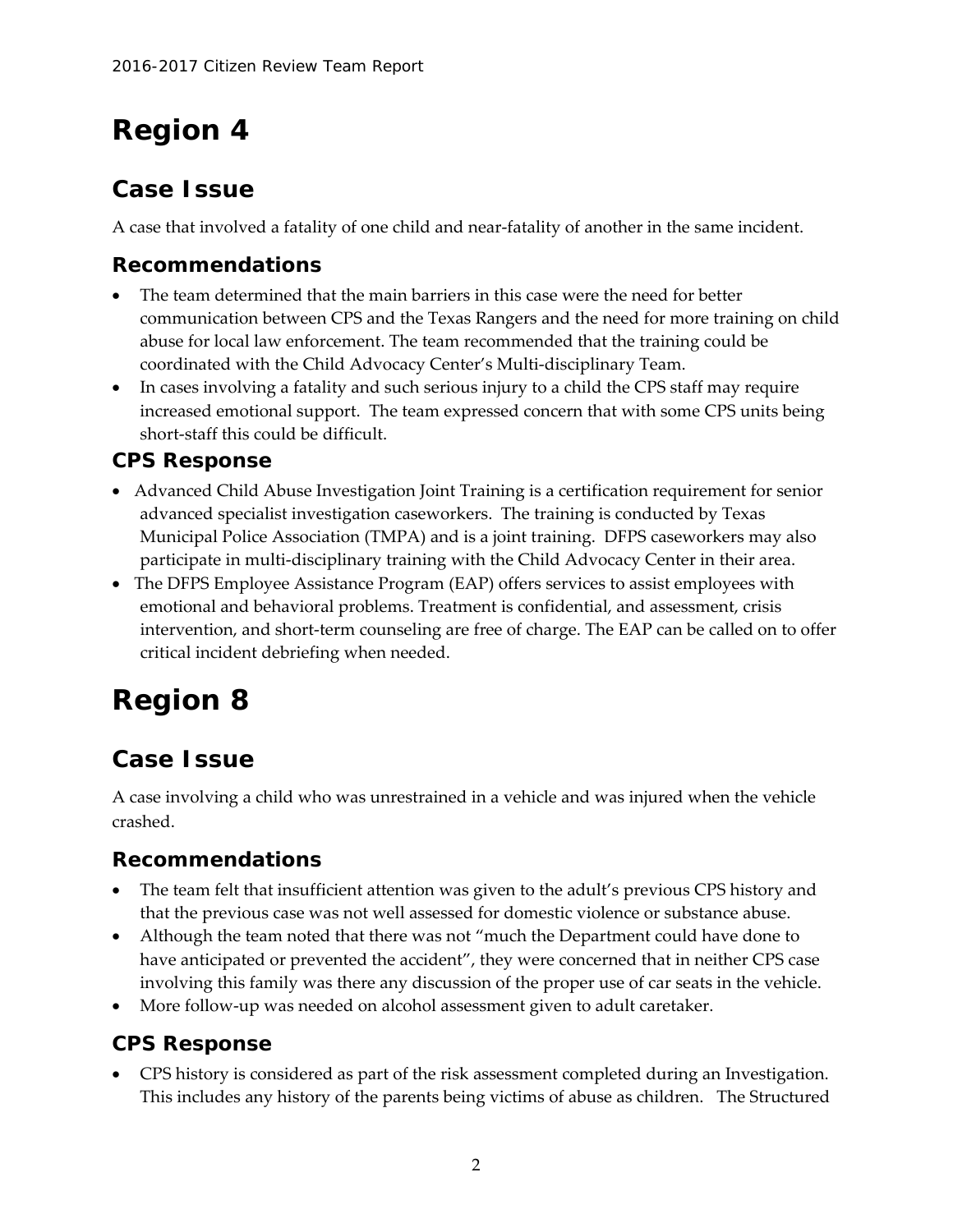## <span id="page-4-0"></span>**Region 4**

### <span id="page-4-1"></span>**Case Issue**

A case that involved a fatality of one child and near-fatality of another in the same incident.

#### <span id="page-4-2"></span>**Recommendations**

- The team determined that the main barriers in this case were the need for better communication between CPS and the Texas Rangers and the need for more training on child abuse for local law enforcement. The team recommended that the training could be coordinated with the Child Advocacy Center's Multi-disciplinary Team.
- In cases involving a fatality and such serious injury to a child the CPS staff may require increased emotional support. The team expressed concern that with some CPS units being short-staff this could be difficult.

#### <span id="page-4-3"></span>**CPS Response**

- Advanced Child Abuse Investigation Joint Training is a certification requirement for senior advanced specialist investigation caseworkers. The training is conducted by Texas Municipal Police Association (TMPA) and is a joint training. DFPS caseworkers may also participate in multi-disciplinary training with the Child Advocacy Center in their area.
- The DFPS Employee Assistance Program (EAP) offers services to assist employees with emotional and behavioral problems. Treatment is confidential, and assessment, crisis intervention, and short-term counseling are free of charge. The EAP can be called on to offer critical incident debriefing when needed.

## <span id="page-4-4"></span>**Region 8**

## <span id="page-4-5"></span>**Case Issue**

A case involving a child who was unrestrained in a vehicle and was injured when the vehicle crashed.

#### <span id="page-4-6"></span>**Recommendations**

- The team felt that insufficient attention was given to the adult's previous CPS history and that the previous case was not well assessed for domestic violence or substance abuse.
- Although the team noted that there was not "much the Department could have done to have anticipated or prevented the accident", they were concerned that in neither CPS case involving this family was there any discussion of the proper use of car seats in the vehicle.
- More follow-up was needed on alcohol assessment given to adult caretaker.

#### <span id="page-4-7"></span>**CPS Response**

• CPS history is considered as part of the risk assessment completed during an Investigation. This includes any history of the parents being victims of abuse as children. The Structured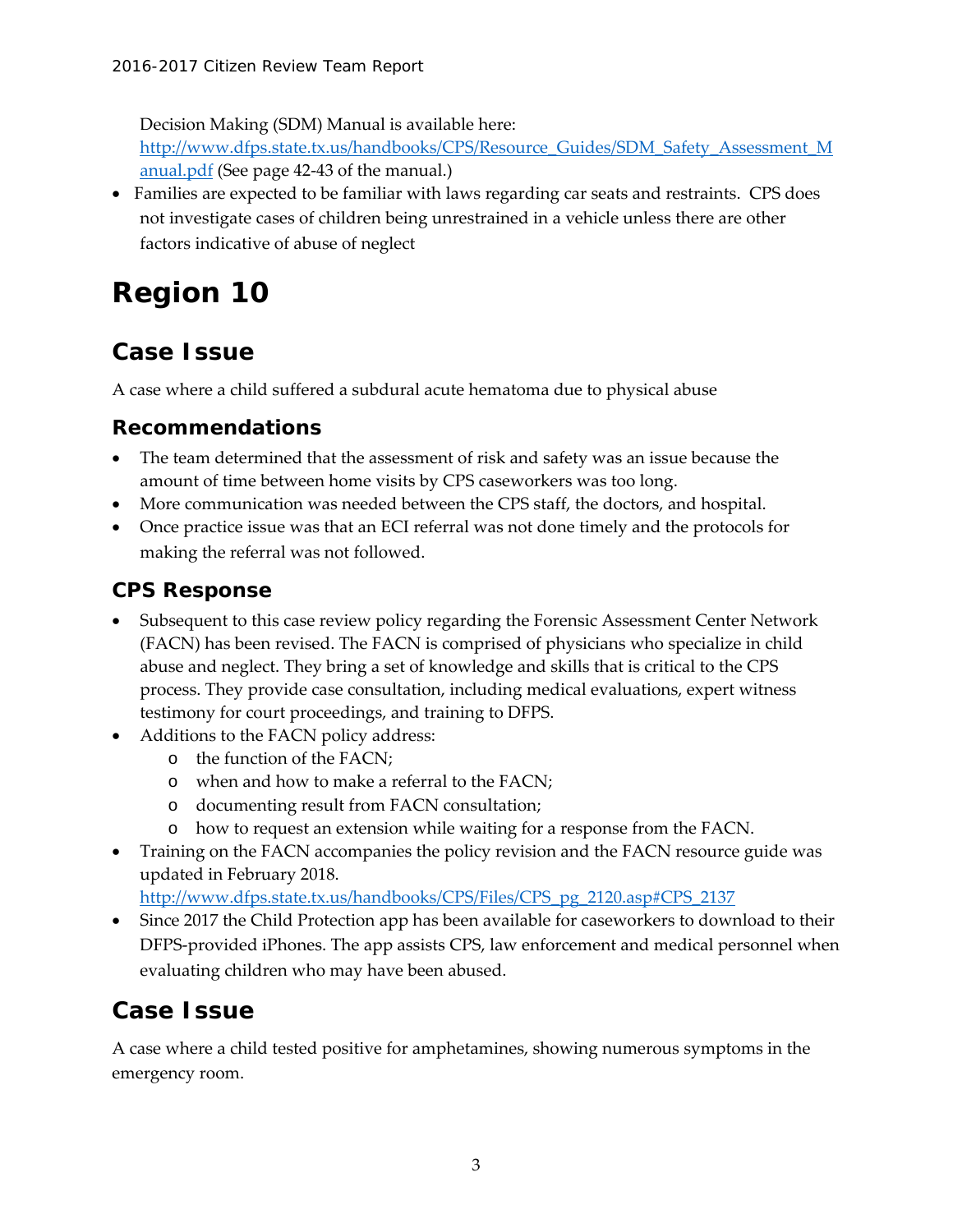Decision Making (SDM) Manual is available here: [http://www.dfps.state.tx.us/handbooks/CPS/Resource\\_Guides/SDM\\_Safety\\_Assessment\\_M](http://www.dfps.state.tx.us/handbooks/CPS/Resource_Guides/SDM_Safety_Assessment_Manual.pdf) [anual.pdf](http://www.dfps.state.tx.us/handbooks/CPS/Resource_Guides/SDM_Safety_Assessment_Manual.pdf) (See page 42-43 of the manual.)

• Families are expected to be familiar with laws regarding car seats and restraints. CPS does not investigate cases of children being unrestrained in a vehicle unless there are other factors indicative of abuse of neglect

## <span id="page-5-0"></span>**Region 10**

### <span id="page-5-1"></span>**Case Issue**

A case where a child suffered a subdural acute hematoma due to physical abuse

#### <span id="page-5-2"></span>**Recommendations**

- The team determined that the assessment of risk and safety was an issue because the amount of time between home visits by CPS caseworkers was too long.
- More communication was needed between the CPS staff, the doctors, and hospital.
- Once practice issue was that an ECI referral was not done timely and the protocols for making the referral was not followed.

#### <span id="page-5-3"></span>**CPS Response**

- Subsequent to this case review policy regarding the Forensic Assessment Center Network (FACN) has been revised. The FACN is comprised of physicians who specialize in child abuse and neglect. They bring a set of knowledge and skills that is critical to the CPS process. They provide case consultation, including medical evaluations, expert witness testimony for court proceedings, and training to DFPS.
- Additions to the FACN policy address:
	- o the function of the FACN;
	- o when and how to make a referral to the FACN;
	- o documenting result from FACN consultation;
	- o how to request an extension while waiting for a response from the FACN.
- Training on the FACN accompanies the policy revision and the FACN resource guide was updated in February 2018.

[http://www.dfps.state.tx.us/handbooks/CPS/Files/CPS\\_pg\\_2120.asp#CPS\\_2137](http://www.dfps.state.tx.us/handbooks/CPS/Files/CPS_pg_2120.asp#CPS_2137)

• Since 2017 the Child Protection app has been available for caseworkers to download to their DFPS-provided iPhones. The app assists CPS, law enforcement and medical personnel when evaluating children who may have been abused.

### <span id="page-5-4"></span>**Case Issue**

A case where a child tested positive for amphetamines, showing numerous symptoms in the emergency room.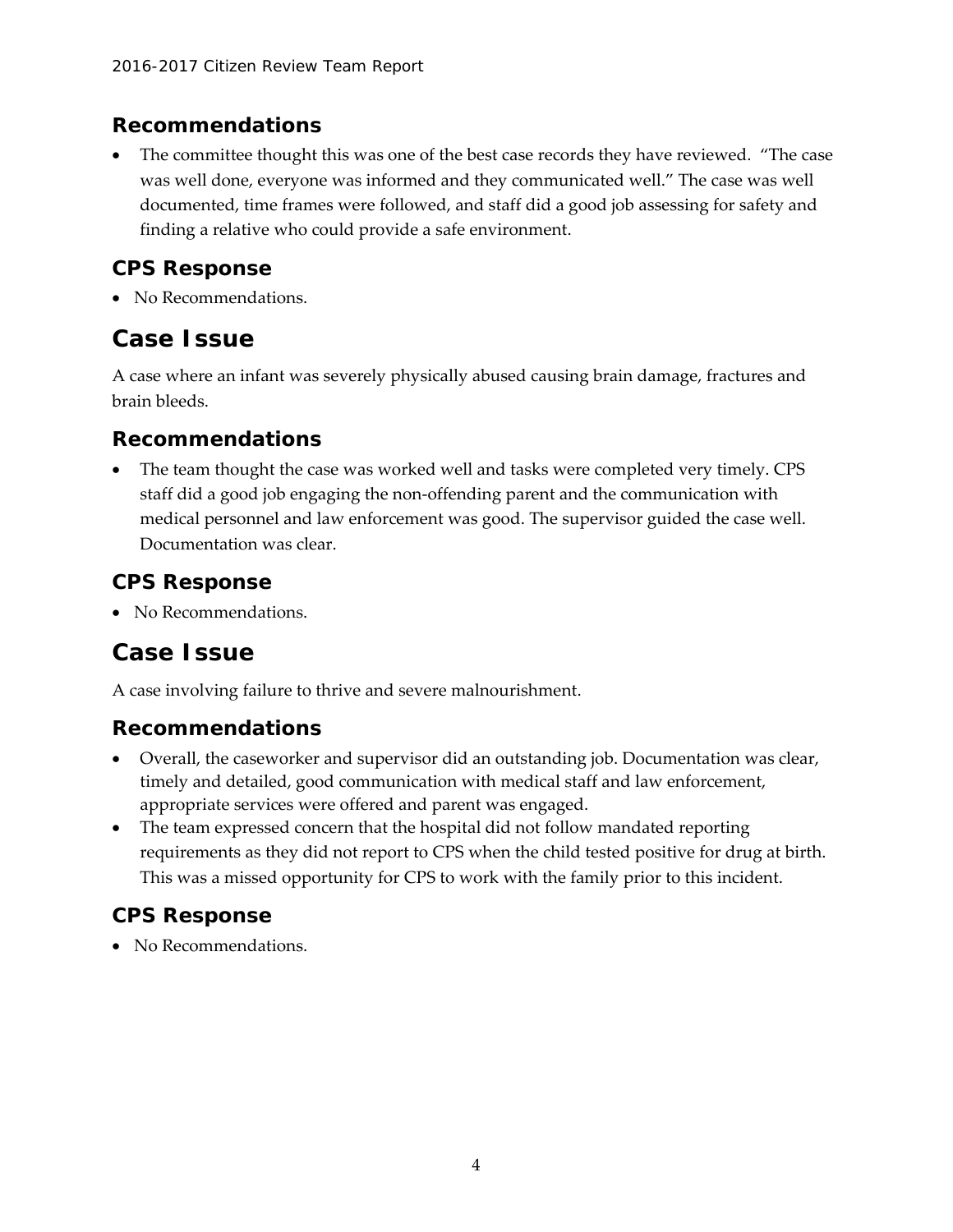#### <span id="page-6-0"></span>**Recommendations**

• The committee thought this was one of the best case records they have reviewed. "The case was well done, everyone was informed and they communicated well." The case was well documented, time frames were followed, and staff did a good job assessing for safety and finding a relative who could provide a safe environment.

#### <span id="page-6-1"></span>**CPS Response**

• No Recommendations.

### <span id="page-6-2"></span>**Case Issue**

A case where an infant was severely physically abused causing brain damage, fractures and brain bleeds.

#### <span id="page-6-3"></span>**Recommendations**

• The team thought the case was worked well and tasks were completed very timely. CPS staff did a good job engaging the non-offending parent and the communication with medical personnel and law enforcement was good. The supervisor guided the case well. Documentation was clear.

#### <span id="page-6-4"></span>**CPS Response**

• No Recommendations.

### <span id="page-6-5"></span>**Case Issue**

A case involving failure to thrive and severe malnourishment.

#### <span id="page-6-6"></span>**Recommendations**

- Overall, the caseworker and supervisor did an outstanding job. Documentation was clear, timely and detailed, good communication with medical staff and law enforcement, appropriate services were offered and parent was engaged.
- The team expressed concern that the hospital did not follow mandated reporting requirements as they did not report to CPS when the child tested positive for drug at birth. This was a missed opportunity for CPS to work with the family prior to this incident.

#### <span id="page-6-7"></span>**CPS Response**

• No Recommendations.